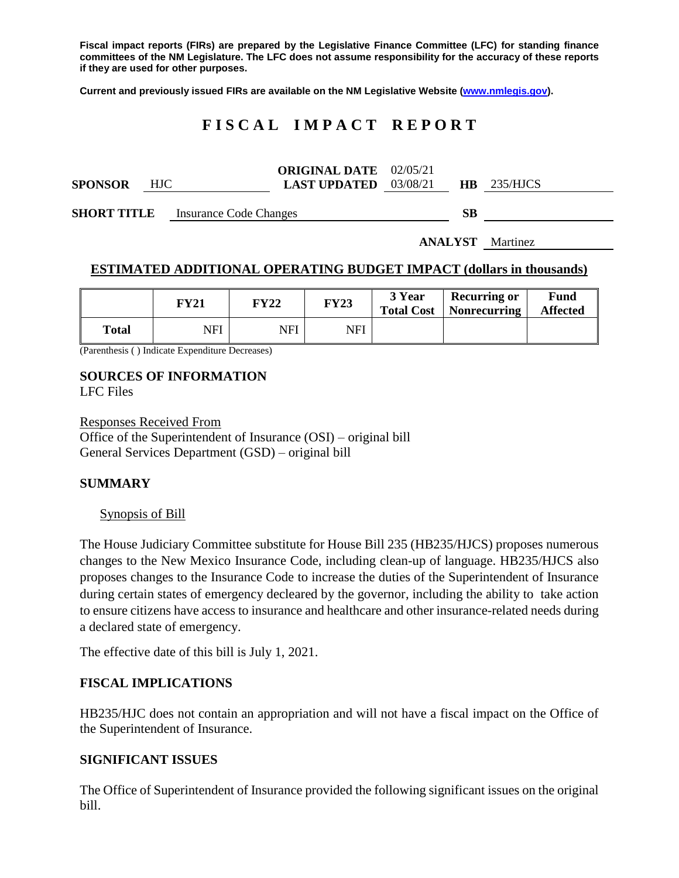**Fiscal impact reports (FIRs) are prepared by the Legislative Finance Committee (LFC) for standing finance committees of the NM Legislature. The LFC does not assume responsibility for the accuracy of these reports if they are used for other purposes.**

**Current and previously issued FIRs are available on the NM Legislative Website [\(www.nmlegis.gov\)](http://www.nmlegis.gov/).**

# **F I S C A L I M P A C T R E P O R T**

|                |            | <b>ORIGINAL DATE</b> 02/05/21  |  |               |
|----------------|------------|--------------------------------|--|---------------|
| <b>SPONSOR</b> | <b>HJC</b> | <b>LAST UPDATED</b> $03/08/21$ |  | $HB$ 235/HJCS |

**SHORT TITLE** Insurance Code Changes **SB** 

**ANALYST** Martinez

### **ESTIMATED ADDITIONAL OPERATING BUDGET IMPACT (dollars in thousands)**

|       | FY21 | FY22 | <b>FY23</b> | 3 Year<br><b>Total Cost</b> | <b>Recurring or</b><br><b>Nonrecurring</b> | Fund<br><b>Affected</b> |
|-------|------|------|-------------|-----------------------------|--------------------------------------------|-------------------------|
| Total | NFI  | NFI  | NFI         |                             |                                            |                         |

(Parenthesis ( ) Indicate Expenditure Decreases)

# **SOURCES OF INFORMATION**

LFC Files

Responses Received From Office of the Superintendent of Insurance (OSI) – original bill General Services Department (GSD) – original bill

#### **SUMMARY**

#### Synopsis of Bill

The House Judiciary Committee substitute for House Bill 235 (HB235/HJCS) proposes numerous changes to the New Mexico Insurance Code, including clean-up of language. HB235/HJCS also proposes changes to the Insurance Code to increase the duties of the Superintendent of Insurance during certain states of emergency decleared by the governor, including the ability to take action to ensure citizens have access to insurance and healthcare and other insurance-related needs during a declared state of emergency.

The effective date of this bill is July 1, 2021.

## **FISCAL IMPLICATIONS**

HB235/HJC does not contain an appropriation and will not have a fiscal impact on the Office of the Superintendent of Insurance.

#### **SIGNIFICANT ISSUES**

The Office of Superintendent of Insurance provided the following significant issues on the original bill.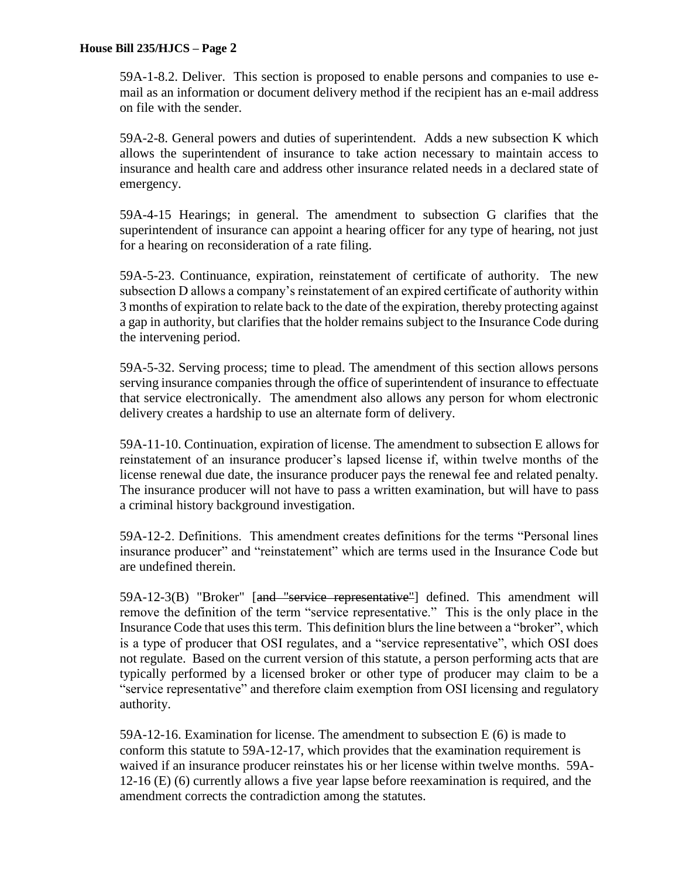### **House Bill 235/HJCS – Page 2**

59A-1-8.2. Deliver. This section is proposed to enable persons and companies to use email as an information or document delivery method if the recipient has an e-mail address on file with the sender.

59A-2-8. General powers and duties of superintendent. Adds a new subsection K which allows the superintendent of insurance to take action necessary to maintain access to insurance and health care and address other insurance related needs in a declared state of emergency.

59A-4-15 Hearings; in general. The amendment to subsection G clarifies that the superintendent of insurance can appoint a hearing officer for any type of hearing, not just for a hearing on reconsideration of a rate filing.

59A-5-23. Continuance, expiration, reinstatement of certificate of authority. The new subsection D allows a company's reinstatement of an expired certificate of authority within 3 months of expiration to relate back to the date of the expiration, thereby protecting against a gap in authority, but clarifies that the holder remains subject to the Insurance Code during the intervening period.

59A-5-32. Serving process; time to plead. The amendment of this section allows persons serving insurance companies through the office of superintendent of insurance to effectuate that service electronically. The amendment also allows any person for whom electronic delivery creates a hardship to use an alternate form of delivery.

59A-11-10. Continuation, expiration of license. The amendment to subsection E allows for reinstatement of an insurance producer's lapsed license if, within twelve months of the license renewal due date, the insurance producer pays the renewal fee and related penalty. The insurance producer will not have to pass a written examination, but will have to pass a criminal history background investigation.

59A-12-2. Definitions. This amendment creates definitions for the terms "Personal lines insurance producer" and "reinstatement" which are terms used in the Insurance Code but are undefined therein.

59A-12-3(B) "Broker" [and "service representative"] defined. This amendment will remove the definition of the term "service representative." This is the only place in the Insurance Code that uses this term. This definition blurs the line between a "broker", which is a type of producer that OSI regulates, and a "service representative", which OSI does not regulate. Based on the current version of this statute, a person performing acts that are typically performed by a licensed broker or other type of producer may claim to be a "service representative" and therefore claim exemption from OSI licensing and regulatory authority.

59A-12-16. Examination for license. The amendment to subsection E (6) is made to conform this statute to 59A-12-17, which provides that the examination requirement is waived if an insurance producer reinstates his or her license within twelve months. 59A-12-16 (E) (6) currently allows a five year lapse before reexamination is required, and the amendment corrects the contradiction among the statutes.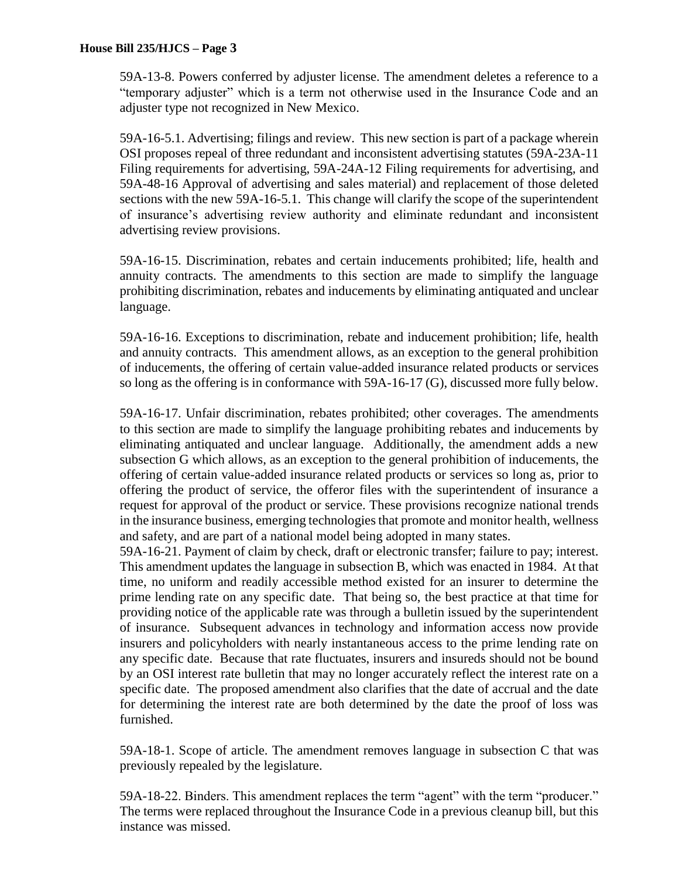59A-13-8. Powers conferred by adjuster license. The amendment deletes a reference to a "temporary adjuster" which is a term not otherwise used in the Insurance Code and an adjuster type not recognized in New Mexico.

59A-16-5.1. Advertising; filings and review. This new section is part of a package wherein OSI proposes repeal of three redundant and inconsistent advertising statutes (59A-23A-11 Filing requirements for advertising, 59A-24A-12 Filing requirements for advertising, and 59A-48-16 Approval of advertising and sales material) and replacement of those deleted sections with the new 59A-16-5.1. This change will clarify the scope of the superintendent of insurance's advertising review authority and eliminate redundant and inconsistent advertising review provisions.

59A-16-15. Discrimination, rebates and certain inducements prohibited; life, health and annuity contracts. The amendments to this section are made to simplify the language prohibiting discrimination, rebates and inducements by eliminating antiquated and unclear language.

59A-16-16. Exceptions to discrimination, rebate and inducement prohibition; life, health and annuity contracts. This amendment allows, as an exception to the general prohibition of inducements, the offering of certain value-added insurance related products or services so long as the offering is in conformance with 59A-16-17 (G), discussed more fully below.

59A-16-17. Unfair discrimination, rebates prohibited; other coverages. The amendments to this section are made to simplify the language prohibiting rebates and inducements by eliminating antiquated and unclear language. Additionally, the amendment adds a new subsection G which allows, as an exception to the general prohibition of inducements, the offering of certain value-added insurance related products or services so long as, prior to offering the product of service, the offeror files with the superintendent of insurance a request for approval of the product or service. These provisions recognize national trends in the insurance business, emerging technologies that promote and monitor health, wellness and safety, and are part of a national model being adopted in many states.

59A-16-21. Payment of claim by check, draft or electronic transfer; failure to pay; interest. This amendment updates the language in subsection B, which was enacted in 1984. At that time, no uniform and readily accessible method existed for an insurer to determine the prime lending rate on any specific date. That being so, the best practice at that time for providing notice of the applicable rate was through a bulletin issued by the superintendent of insurance. Subsequent advances in technology and information access now provide insurers and policyholders with nearly instantaneous access to the prime lending rate on any specific date. Because that rate fluctuates, insurers and insureds should not be bound by an OSI interest rate bulletin that may no longer accurately reflect the interest rate on a specific date. The proposed amendment also clarifies that the date of accrual and the date for determining the interest rate are both determined by the date the proof of loss was furnished.

59A-18-1. Scope of article. The amendment removes language in subsection C that was previously repealed by the legislature.

59A-18-22. Binders. This amendment replaces the term "agent" with the term "producer." The terms were replaced throughout the Insurance Code in a previous cleanup bill, but this instance was missed.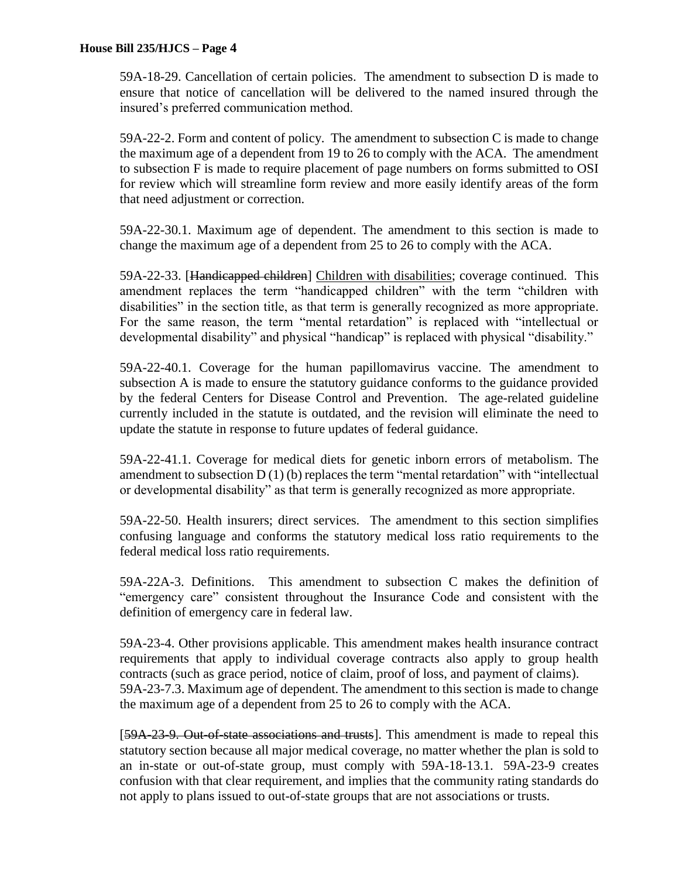59A-18-29. Cancellation of certain policies. The amendment to subsection D is made to ensure that notice of cancellation will be delivered to the named insured through the insured's preferred communication method.

59A-22-2. Form and content of policy. The amendment to subsection C is made to change the maximum age of a dependent from 19 to 26 to comply with the ACA. The amendment to subsection F is made to require placement of page numbers on forms submitted to OSI for review which will streamline form review and more easily identify areas of the form that need adjustment or correction.

59A-22-30.1. Maximum age of dependent. The amendment to this section is made to change the maximum age of a dependent from 25 to 26 to comply with the ACA.

59A-22-33. [Handicapped children] Children with disabilities; coverage continued. This amendment replaces the term "handicapped children" with the term "children with disabilities" in the section title, as that term is generally recognized as more appropriate. For the same reason, the term "mental retardation" is replaced with "intellectual or developmental disability" and physical "handicap" is replaced with physical "disability."

59A-22-40.1. Coverage for the human papillomavirus vaccine. The amendment to subsection A is made to ensure the statutory guidance conforms to the guidance provided by the federal Centers for Disease Control and Prevention. The age-related guideline currently included in the statute is outdated, and the revision will eliminate the need to update the statute in response to future updates of federal guidance.

59A-22-41.1. Coverage for medical diets for genetic inborn errors of metabolism. The amendment to subsection  $D(1)$  (b) replaces the term "mental retardation" with "intellectual or developmental disability" as that term is generally recognized as more appropriate.

59A-22-50. Health insurers; direct services. The amendment to this section simplifies confusing language and conforms the statutory medical loss ratio requirements to the federal medical loss ratio requirements.

59A-22A-3. Definitions. This amendment to subsection C makes the definition of "emergency care" consistent throughout the Insurance Code and consistent with the definition of emergency care in federal law.

59A-23-4. Other provisions applicable. This amendment makes health insurance contract requirements that apply to individual coverage contracts also apply to group health contracts (such as grace period, notice of claim, proof of loss, and payment of claims). 59A-23-7.3. Maximum age of dependent. The amendment to this section is made to change the maximum age of a dependent from 25 to 26 to comply with the ACA.

[59A-23-9. Out-of-state associations and trusts]. This amendment is made to repeal this statutory section because all major medical coverage, no matter whether the plan is sold to an in-state or out-of-state group, must comply with 59A-18-13.1. 59A-23-9 creates confusion with that clear requirement, and implies that the community rating standards do not apply to plans issued to out-of-state groups that are not associations or trusts.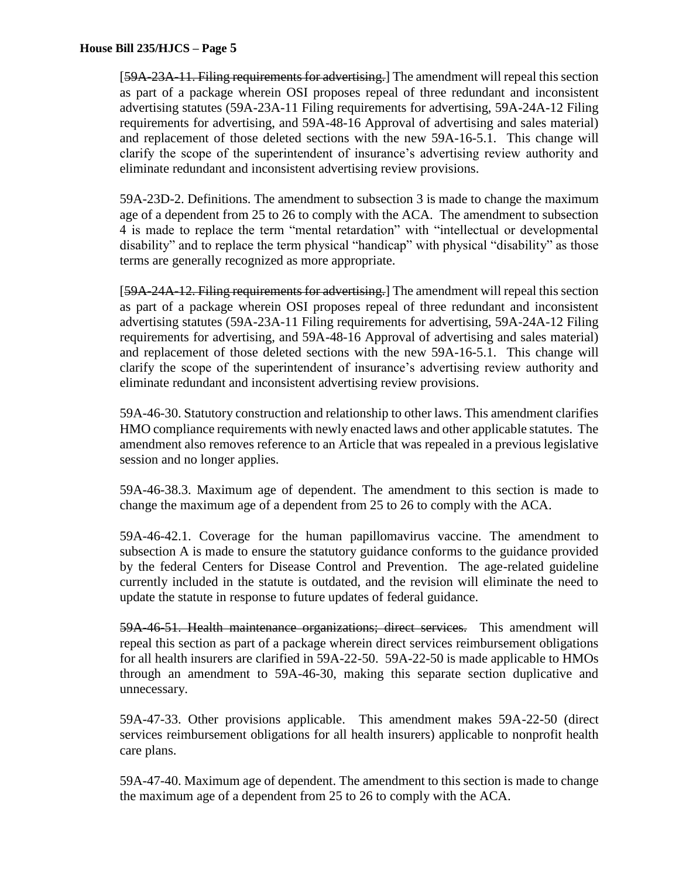[59A-23A-11. Filing requirements for advertising.] The amendment will repeal this section as part of a package wherein OSI proposes repeal of three redundant and inconsistent advertising statutes (59A-23A-11 Filing requirements for advertising, 59A-24A-12 Filing requirements for advertising, and 59A-48-16 Approval of advertising and sales material) and replacement of those deleted sections with the new 59A-16-5.1. This change will clarify the scope of the superintendent of insurance's advertising review authority and eliminate redundant and inconsistent advertising review provisions.

59A-23D-2. Definitions. The amendment to subsection 3 is made to change the maximum age of a dependent from 25 to 26 to comply with the ACA. The amendment to subsection 4 is made to replace the term "mental retardation" with "intellectual or developmental disability" and to replace the term physical "handicap" with physical "disability" as those terms are generally recognized as more appropriate.

[59A-24A-12. Filing requirements for advertising.] The amendment will repeal this section as part of a package wherein OSI proposes repeal of three redundant and inconsistent advertising statutes (59A-23A-11 Filing requirements for advertising, 59A-24A-12 Filing requirements for advertising, and 59A-48-16 Approval of advertising and sales material) and replacement of those deleted sections with the new 59A-16-5.1. This change will clarify the scope of the superintendent of insurance's advertising review authority and eliminate redundant and inconsistent advertising review provisions.

59A-46-30. Statutory construction and relationship to other laws. This amendment clarifies HMO compliance requirements with newly enacted laws and other applicable statutes. The amendment also removes reference to an Article that was repealed in a previous legislative session and no longer applies.

59A-46-38.3. Maximum age of dependent. The amendment to this section is made to change the maximum age of a dependent from 25 to 26 to comply with the ACA.

59A-46-42.1. Coverage for the human papillomavirus vaccine. The amendment to subsection A is made to ensure the statutory guidance conforms to the guidance provided by the federal Centers for Disease Control and Prevention. The age-related guideline currently included in the statute is outdated, and the revision will eliminate the need to update the statute in response to future updates of federal guidance.

59A-46-51. Health maintenance organizations; direct services. This amendment will repeal this section as part of a package wherein direct services reimbursement obligations for all health insurers are clarified in 59A-22-50. 59A-22-50 is made applicable to HMOs through an amendment to 59A-46-30, making this separate section duplicative and unnecessary.

59A-47-33. Other provisions applicable. This amendment makes 59A-22-50 (direct services reimbursement obligations for all health insurers) applicable to nonprofit health care plans.

59A-47-40. Maximum age of dependent. The amendment to this section is made to change the maximum age of a dependent from 25 to 26 to comply with the ACA.